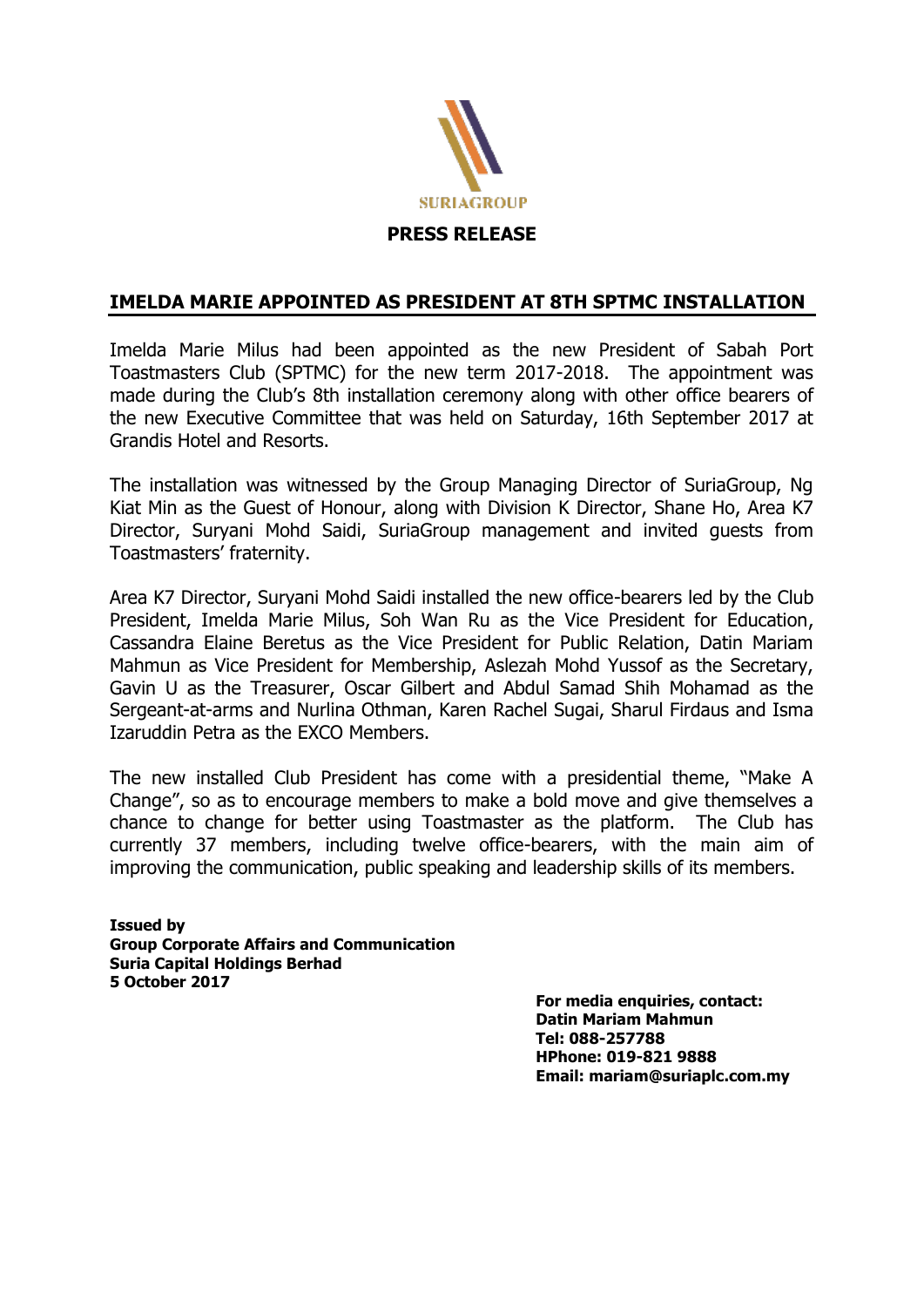

## **IMELDA MARIE APPOINTED AS PRESIDENT AT 8TH SPTMC INSTALLATION**

Imelda Marie Milus had been appointed as the new President of Sabah Port Toastmasters Club (SPTMC) for the new term 2017-2018. The appointment was made during the Club's 8th installation ceremony along with other office bearers of the new Executive Committee that was held on Saturday, 16th September 2017 at Grandis Hotel and Resorts.

The installation was witnessed by the Group Managing Director of SuriaGroup, Ng Kiat Min as the Guest of Honour, along with Division K Director, Shane Ho, Area K7 Director, Suryani Mohd Saidi, SuriaGroup management and invited guests from Toastmasters' fraternity.

Area K7 Director, Suryani Mohd Saidi installed the new office-bearers led by the Club President, Imelda Marie Milus, Soh Wan Ru as the Vice President for Education, Cassandra Elaine Beretus as the Vice President for Public Relation, Datin Mariam Mahmun as Vice President for Membership, Aslezah Mohd Yussof as the Secretary, Gavin U as the Treasurer, Oscar Gilbert and Abdul Samad Shih Mohamad as the Sergeant-at-arms and Nurlina Othman, Karen Rachel Sugai, Sharul Firdaus and Isma Izaruddin Petra as the EXCO Members.

The new installed Club President has come with a presidential theme, "Make A Change", so as to encourage members to make a bold move and give themselves a chance to change for better using Toastmaster as the platform. The Club has currently 37 members, including twelve office-bearers, with the main aim of improving the communication, public speaking and leadership skills of its members.

**Issued by Group Corporate Affairs and Communication Suria Capital Holdings Berhad 5 October 2017** 

**For media enquiries, contact: Datin Mariam Mahmun Tel: 088-257788 HPhone: 019-821 9888 Email: mariam@suriaplc.com.my**